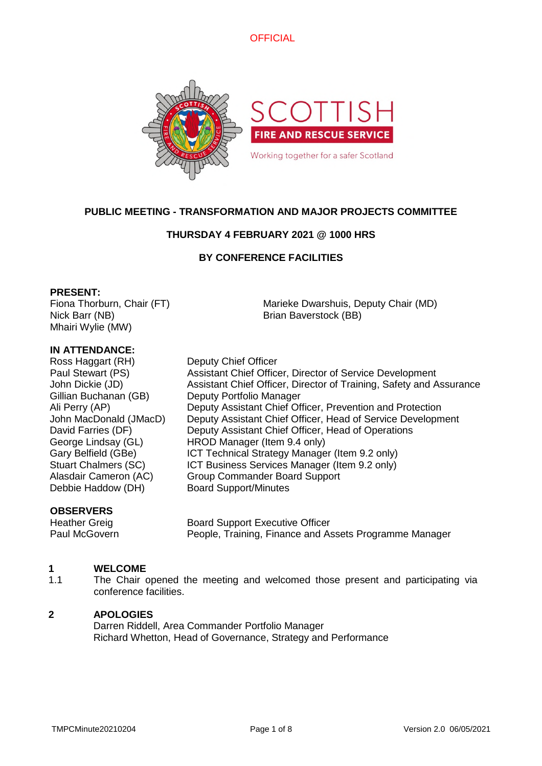

### **PUBLIC MEETING - TRANSFORMATION AND MAJOR PROJECTS COMMITTEE**

### **THURSDAY 4 FEBRUARY 2021 @ 1000 HRS**

### **BY CONFERENCE FACILITIES**

### **PRESENT:**

Fiona Thorburn, Chair (FT) Nick Barr (NB) Mhairi Wylie (MW)

Marieke Dwarshuis, Deputy Chair (MD) Brian Baverstock (BB)

### **IN ATTENDANCE:**

Ross Haggart (RH) Deputy Chief Officer Gillian Buchanan (GB) Deputy Portfolio Manager Debbie Haddow (DH) Board Support/Minutes

Paul Stewart (PS) Assistant Chief Officer, Director of Service Development John Dickie (JD) Assistant Chief Officer, Director of Training, Safety and Assurance Ali Perry (AP) Deputy Assistant Chief Officer, Prevention and Protection John MacDonald (JMacD) Deputy Assistant Chief Officer, Head of Service Development David Farries (DF) Deputy Assistant Chief Officer, Head of Operations George Lindsay (GL) HROD Manager (Item 9.4 only) Gary Belfield (GBe) ICT Technical Strategy Manager (Item 9.2 only) Stuart Chalmers (SC) ICT Business Services Manager (Item 9.2 only) Alasdair Cameron (AC) Group Commander Board Support

### **OBSERVERS**

Heather Greig **Board Support Executive Officer** Paul McGovern **People, Training, Finance and Assets Programme Manager** 

#### **1 WELCOME**

1.1 The Chair opened the meeting and welcomed those present and participating via conference facilities.

### **2 APOLOGIES**

Darren Riddell, Area Commander Portfolio Manager Richard Whetton, Head of Governance, Strategy and Performance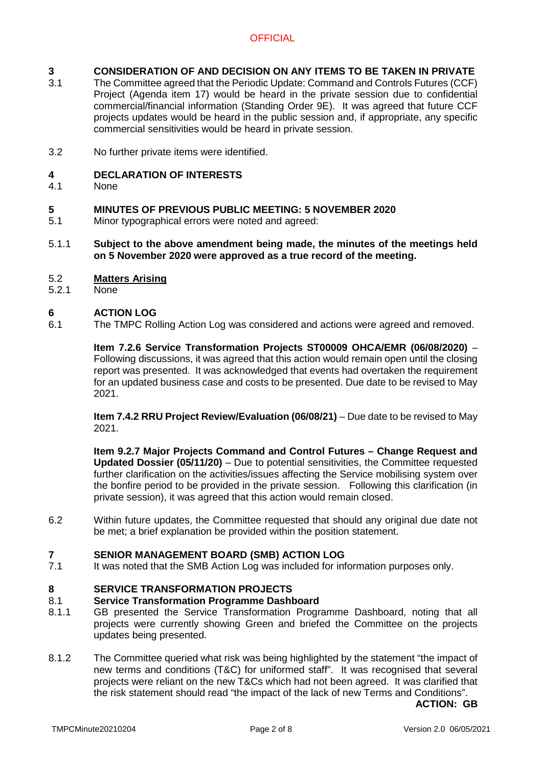#### **3 CONSIDERATION OF AND DECISION ON ANY ITEMS TO BE TAKEN IN PRIVATE**

- 3.1 The Committee agreed that the Periodic Update: Command and Controls Futures (CCF) Project (Agenda item 17) would be heard in the private session due to confidential commercial/financial information (Standing Order 9E). It was agreed that future CCF projects updates would be heard in the public session and, if appropriate, any specific commercial sensitivities would be heard in private session.
- 3.2 No further private items were identified.

#### **4 DECLARATION OF INTERESTS**

4.1 None

#### **5 MINUTES OF PREVIOUS PUBLIC MEETING: 5 NOVEMBER 2020**

- 5.1 Minor typographical errors were noted and agreed:
- 5.1.1 **Subject to the above amendment being made, the minutes of the meetings held on 5 November 2020 were approved as a true record of the meeting.**
- 5.2 **Matters Arising**
- 5.2.1 None

#### **6 ACTION LOG**

6.1 The TMPC Rolling Action Log was considered and actions were agreed and removed.

> **Item 7.2.6 Service Transformation Projects ST00009 OHCA/EMR (06/08/2020)** – Following discussions, it was agreed that this action would remain open until the closing report was presented. It was acknowledged that events had overtaken the requirement for an updated business case and costs to be presented. Due date to be revised to May 2021.

> **Item 7.4.2 RRU Project Review/Evaluation (06/08/21)** – Due date to be revised to May 2021.

> **Item 9.2.7 Major Projects Command and Control Futures – Change Request and Updated Dossier (05/11/20)** – Due to potential sensitivities, the Committee requested further clarification on the activities/issues affecting the Service mobilising system over the bonfire period to be provided in the private session. Following this clarification (in private session), it was agreed that this action would remain closed.

6.2 Within future updates, the Committee requested that should any original due date not be met; a brief explanation be provided within the position statement.

# **7 SENIOR MANAGEMENT BOARD (SMB) ACTION LOG**

It was noted that the SMB Action Log was included for information purposes only.

#### **8 SERVICE TRANSFORMATION PROJECTS**

#### 8.1 **Service Transformation Programme Dashboard**

- 8.1.1 GB presented the Service Transformation Programme Dashboard, noting that all projects were currently showing Green and briefed the Committee on the projects updates being presented.
- 8.1.2 The Committee queried what risk was being highlighted by the statement "the impact of new terms and conditions (T&C) for uniformed staff". It was recognised that several projects were reliant on the new T&Cs which had not been agreed. It was clarified that the risk statement should read "the impact of the lack of new Terms and Conditions".

**ACTION: GB**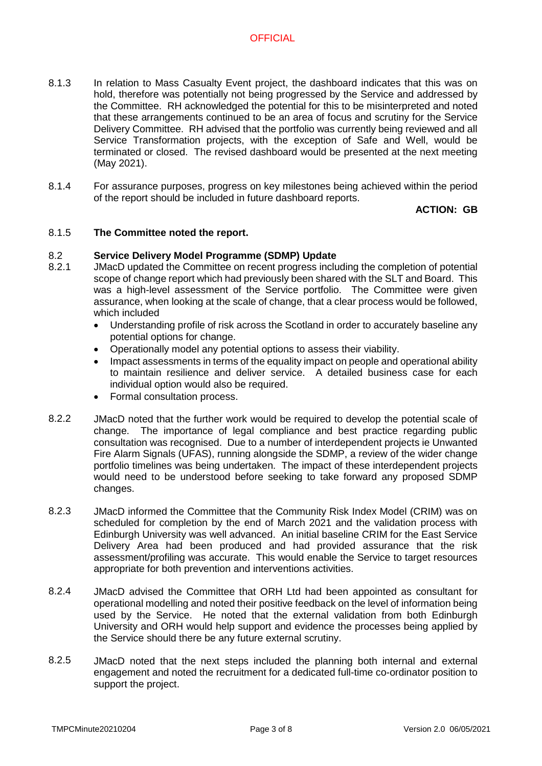- 8.1.3 In relation to Mass Casualty Event project, the dashboard indicates that this was on hold, therefore was potentially not being progressed by the Service and addressed by the Committee. RH acknowledged the potential for this to be misinterpreted and noted that these arrangements continued to be an area of focus and scrutiny for the Service Delivery Committee. RH advised that the portfolio was currently being reviewed and all Service Transformation projects, with the exception of Safe and Well, would be terminated or closed. The revised dashboard would be presented at the next meeting (May 2021).
- 8.1.4 For assurance purposes, progress on key milestones being achieved within the period of the report should be included in future dashboard reports.

**ACTION: GB**

#### 8.1.5 **The Committee noted the report.**

#### 8.2 **Service Delivery Model Programme (SDMP) Update**

- 8.2.1 JMacD updated the Committee on recent progress including the completion of potential scope of change report which had previously been shared with the SLT and Board. This was a high-level assessment of the Service portfolio. The Committee were given assurance, when looking at the scale of change, that a clear process would be followed, which included
	- Understanding profile of risk across the Scotland in order to accurately baseline any potential options for change.
	- Operationally model any potential options to assess their viability.
	- Impact assessments in terms of the equality impact on people and operational ability to maintain resilience and deliver service. A detailed business case for each individual option would also be required.
	- Formal consultation process.
- 8.2.2 JMacD noted that the further work would be required to develop the potential scale of change. The importance of legal compliance and best practice regarding public consultation was recognised. Due to a number of interdependent projects ie Unwanted Fire Alarm Signals (UFAS), running alongside the SDMP, a review of the wider change portfolio timelines was being undertaken. The impact of these interdependent projects would need to be understood before seeking to take forward any proposed SDMP changes.
- 8.2.3 JMacD informed the Committee that the Community Risk Index Model (CRIM) was on scheduled for completion by the end of March 2021 and the validation process with Edinburgh University was well advanced. An initial baseline CRIM for the East Service Delivery Area had been produced and had provided assurance that the risk assessment/profiling was accurate. This would enable the Service to target resources appropriate for both prevention and interventions activities.
- 8.2.4 JMacD advised the Committee that ORH Ltd had been appointed as consultant for operational modelling and noted their positive feedback on the level of information being used by the Service. He noted that the external validation from both Edinburgh University and ORH would help support and evidence the processes being applied by the Service should there be any future external scrutiny.
- 8.2.5 JMacD noted that the next steps included the planning both internal and external engagement and noted the recruitment for a dedicated full-time co-ordinator position to support the project.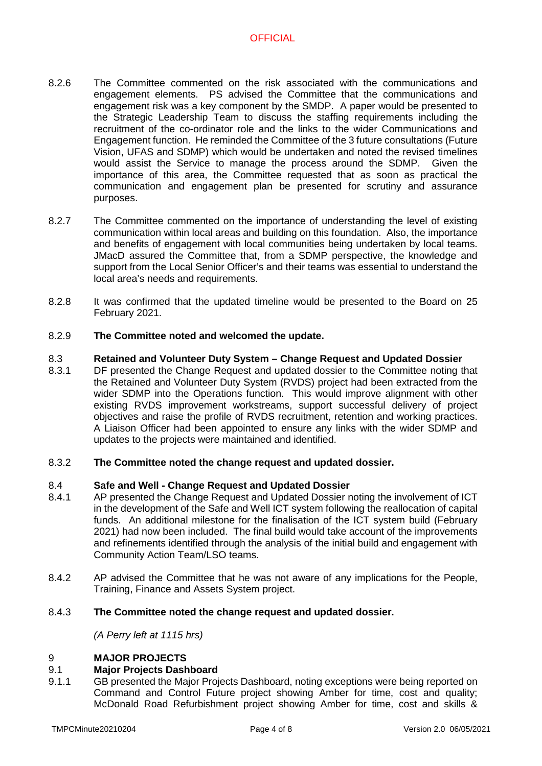- 8.2.6 The Committee commented on the risk associated with the communications and engagement elements. PS advised the Committee that the communications and engagement risk was a key component by the SMDP. A paper would be presented to the Strategic Leadership Team to discuss the staffing requirements including the recruitment of the co-ordinator role and the links to the wider Communications and Engagement function. He reminded the Committee of the 3 future consultations (Future Vision, UFAS and SDMP) which would be undertaken and noted the revised timelines would assist the Service to manage the process around the SDMP. Given the importance of this area, the Committee requested that as soon as practical the communication and engagement plan be presented for scrutiny and assurance purposes.
- 8.2.7 The Committee commented on the importance of understanding the level of existing communication within local areas and building on this foundation. Also, the importance and benefits of engagement with local communities being undertaken by local teams. JMacD assured the Committee that, from a SDMP perspective, the knowledge and support from the Local Senior Officer's and their teams was essential to understand the local area's needs and requirements.
- 8.2.8 It was confirmed that the updated timeline would be presented to the Board on 25 February 2021.

#### 8.2.9 **The Committee noted and welcomed the update.**

#### 8.3 **Retained and Volunteer Duty System – Change Request and Updated Dossier**

8.3.1 DF presented the Change Request and updated dossier to the Committee noting that the Retained and Volunteer Duty System (RVDS) project had been extracted from the wider SDMP into the Operations function. This would improve alignment with other existing RVDS improvement workstreams, support successful delivery of project objectives and raise the profile of RVDS recruitment, retention and working practices. A Liaison Officer had been appointed to ensure any links with the wider SDMP and updates to the projects were maintained and identified.

#### 8.3.2 **The Committee noted the change request and updated dossier.**

#### 8.4 **Safe and Well - Change Request and Updated Dossier**

- 8.4.1 AP presented the Change Request and Updated Dossier noting the involvement of ICT in the development of the Safe and Well ICT system following the reallocation of capital funds. An additional milestone for the finalisation of the ICT system build (February 2021) had now been included. The final build would take account of the improvements and refinements identified through the analysis of the initial build and engagement with Community Action Team/LSO teams.
- 8.4.2 AP advised the Committee that he was not aware of any implications for the People, Training, Finance and Assets System project.

#### 8.4.3 **The Committee noted the change request and updated dossier.**

*(A Perry left at 1115 hrs)*

#### 9 **MAJOR PROJECTS**

#### 9.1 **Major Projects Dashboard**

9.1.1 GB presented the Major Projects Dashboard, noting exceptions were being reported on Command and Control Future project showing Amber for time, cost and quality; McDonald Road Refurbishment project showing Amber for time, cost and skills &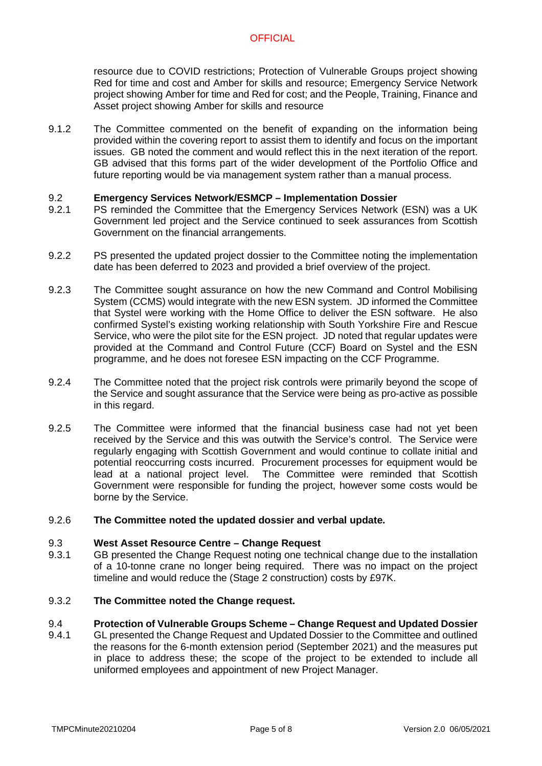resource due to COVID restrictions; Protection of Vulnerable Groups project showing Red for time and cost and Amber for skills and resource; Emergency Service Network project showing Amber for time and Red for cost; and the People, Training, Finance and Asset project showing Amber for skills and resource

9.1.2 The Committee commented on the benefit of expanding on the information being provided within the covering report to assist them to identify and focus on the important issues. GB noted the comment and would reflect this in the next iteration of the report. GB advised that this forms part of the wider development of the Portfolio Office and future reporting would be via management system rather than a manual process.

#### 9.2 **Emergency Services Network/ESMCP – Implementation Dossier**

- 9.2.1 PS reminded the Committee that the Emergency Services Network (ESN) was a UK Government led project and the Service continued to seek assurances from Scottish Government on the financial arrangements.
- 9.2.2 PS presented the updated project dossier to the Committee noting the implementation date has been deferred to 2023 and provided a brief overview of the project.
- 9.2.3 The Committee sought assurance on how the new Command and Control Mobilising System (CCMS) would integrate with the new ESN system. JD informed the Committee that Systel were working with the Home Office to deliver the ESN software. He also confirmed Systel's existing working relationship with South Yorkshire Fire and Rescue Service, who were the pilot site for the ESN project. JD noted that regular updates were provided at the Command and Control Future (CCF) Board on Systel and the ESN programme, and he does not foresee ESN impacting on the CCF Programme.
- 9.2.4 The Committee noted that the project risk controls were primarily beyond the scope of the Service and sought assurance that the Service were being as pro-active as possible in this regard.
- 9.2.5 The Committee were informed that the financial business case had not yet been received by the Service and this was outwith the Service's control. The Service were regularly engaging with Scottish Government and would continue to collate initial and potential reoccurring costs incurred. Procurement processes for equipment would be lead at a national project level. The Committee were reminded that Scottish Government were responsible for funding the project, however some costs would be borne by the Service.
- 9.2.6 **The Committee noted the updated dossier and verbal update.**

#### 9.3 **West Asset Resource Centre – Change Request**

9.3.1 GB presented the Change Request noting one technical change due to the installation of a 10-tonne crane no longer being required. There was no impact on the project timeline and would reduce the (Stage 2 construction) costs by £97K.

#### 9.3.2 **The Committee noted the Change request.**

#### 9.4 **Protection of Vulnerable Groups Scheme – Change Request and Updated Dossier**

9.4.1 GL presented the Change Request and Updated Dossier to the Committee and outlined the reasons for the 6-month extension period (September 2021) and the measures put in place to address these; the scope of the project to be extended to include all uniformed employees and appointment of new Project Manager.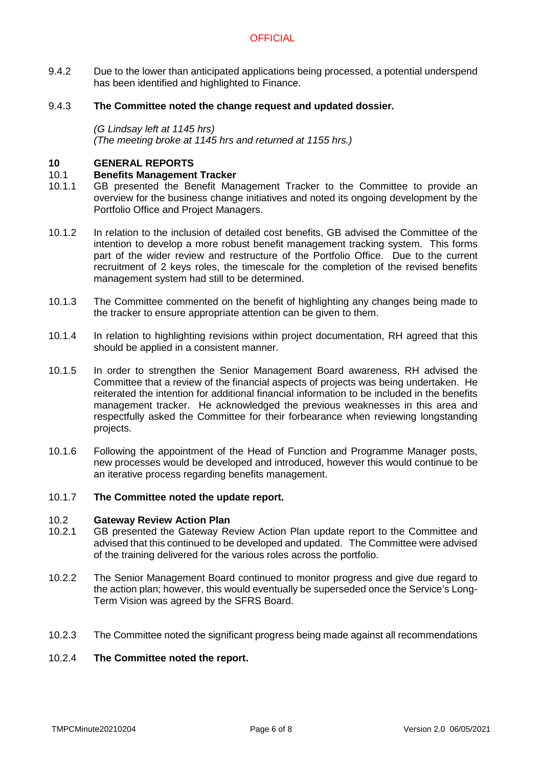- 9.4.2 Due to the lower than anticipated applications being processed, a potential underspend has been identified and highlighted to Finance.
- 9.4.3 **The Committee noted the change request and updated dossier.**

*(G Lindsay left at 1145 hrs) (The meeting broke at 1145 hrs and returned at 1155 hrs.)*

### **10 GENERAL REPORTS**

#### 10.1 **Benefits Management Tracker**

- 10.1.1 GB presented the Benefit Management Tracker to the Committee to provide an overview for the business change initiatives and noted its ongoing development by the Portfolio Office and Project Managers.
- 10.1.2 In relation to the inclusion of detailed cost benefits, GB advised the Committee of the intention to develop a more robust benefit management tracking system. This forms part of the wider review and restructure of the Portfolio Office. Due to the current recruitment of 2 keys roles, the timescale for the completion of the revised benefits management system had still to be determined.
- 10.1.3 The Committee commented on the benefit of highlighting any changes being made to the tracker to ensure appropriate attention can be given to them.
- 10.1.4 In relation to highlighting revisions within project documentation, RH agreed that this should be applied in a consistent manner.
- 10.1.5 In order to strengthen the Senior Management Board awareness, RH advised the Committee that a review of the financial aspects of projects was being undertaken. He reiterated the intention for additional financial information to be included in the benefits management tracker. He acknowledged the previous weaknesses in this area and respectfully asked the Committee for their forbearance when reviewing longstanding projects.
- 10.1.6 Following the appointment of the Head of Function and Programme Manager posts, new processes would be developed and introduced, however this would continue to be an iterative process regarding benefits management.

#### 10.1.7 **The Committee noted the update report.**

#### 10.2 **Gateway Review Action Plan**

- 10.2.1 GB presented the Gateway Review Action Plan update report to the Committee and advised that this continued to be developed and updated. The Committee were advised of the training delivered for the various roles across the portfolio.
- 10.2.2 The Senior Management Board continued to monitor progress and give due regard to the action plan; however, this would eventually be superseded once the Service's Long-Term Vision was agreed by the SFRS Board.
- 10.2.3 The Committee noted the significant progress being made against all recommendations

#### 10.2.4 **The Committee noted the report.**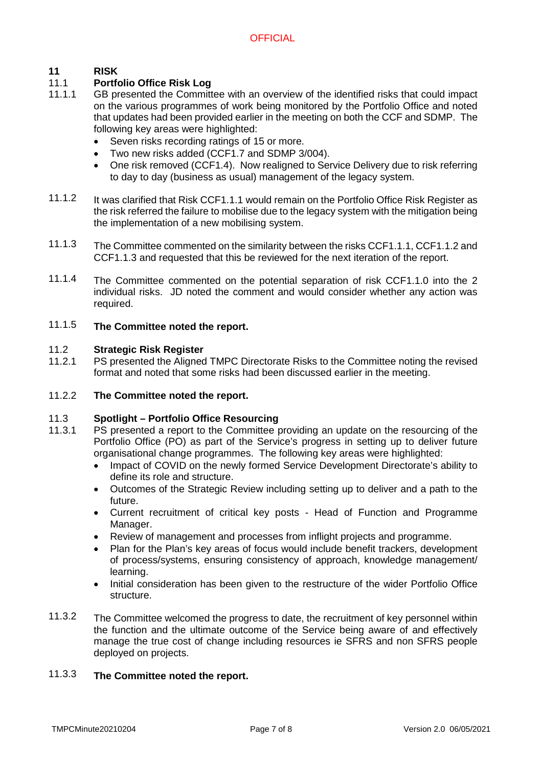#### **11 RISK**

#### 11.1 **Portfolio Office Risk Log**

- 11.1.1 GB presented the Committee with an overview of the identified risks that could impact on the various programmes of work being monitored by the Portfolio Office and noted that updates had been provided earlier in the meeting on both the CCF and SDMP. The following key areas were highlighted:
	- Seven risks recording ratings of 15 or more.
	- Two new risks added (CCF1.7 and SDMP 3/004).
	- One risk removed (CCF1.4). Now realigned to Service Delivery due to risk referring to day to day (business as usual) management of the legacy system.
- 11.1.2 It was clarified that Risk CCF1.1.1 would remain on the Portfolio Office Risk Register as the risk referred the failure to mobilise due to the legacy system with the mitigation being the implementation of a new mobilising system.
- 11.1.3 The Committee commented on the similarity between the risks CCF1.1.1, CCF1.1.2 and CCF1.1.3 and requested that this be reviewed for the next iteration of the report.
- 11.1.4 The Committee commented on the potential separation of risk CCF1.1.0 into the 2 individual risks. JD noted the comment and would consider whether any action was required.

#### 11.1.5 **The Committee noted the report.**

#### 11.2 **Strategic Risk Register**

11.2.1 PS presented the Aligned TMPC Directorate Risks to the Committee noting the revised format and noted that some risks had been discussed earlier in the meeting.

#### 11.2.2 **The Committee noted the report.**

#### 11.3 **Spotlight – Portfolio Office Resourcing**

- 11.3.1 PS presented a report to the Committee providing an update on the resourcing of the Portfolio Office (PO) as part of the Service's progress in setting up to deliver future organisational change programmes. The following key areas were highlighted:
	- Impact of COVID on the newly formed Service Development Directorate's ability to define its role and structure.
	- Outcomes of the Strategic Review including setting up to deliver and a path to the future.
	- Current recruitment of critical key posts Head of Function and Programme Manager.
	- Review of management and processes from inflight projects and programme.
	- Plan for the Plan's key areas of focus would include benefit trackers, development of process/systems, ensuring consistency of approach, knowledge management/ learning.
	- Initial consideration has been given to the restructure of the wider Portfolio Office structure.
- 11.3.2 The Committee welcomed the progress to date, the recruitment of key personnel within the function and the ultimate outcome of the Service being aware of and effectively manage the true cost of change including resources ie SFRS and non SFRS people deployed on projects.

#### 11.3.3 **The Committee noted the report.**